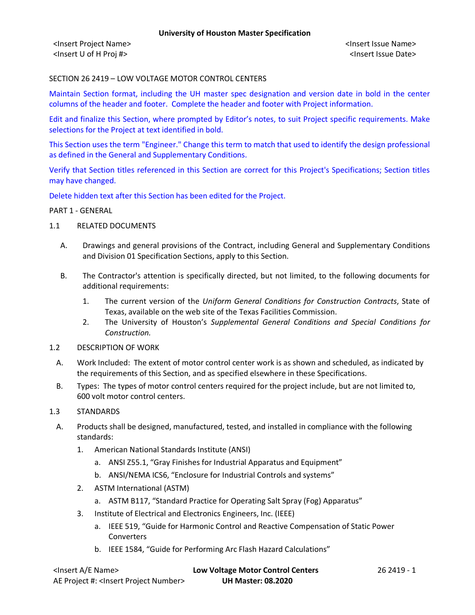<Insert Project Name> <Insert Issue Name> <Insert U of H Proj #> <Insert Issue Date>

SECTION 26 2419 – LOW VOLTAGE MOTOR CONTROL CENTERS

Maintain Section format, including the UH master spec designation and version date in bold in the center columns of the header and footer. Complete the header and footer with Project information.

Edit and finalize this Section, where prompted by Editor's notes, to suit Project specific requirements. Make selections for the Project at text identified in bold.

This Section uses the term "Engineer." Change this term to match that used to identify the design professional as defined in the General and Supplementary Conditions.

Verify that Section titles referenced in this Section are correct for this Project's Specifications; Section titles may have changed.

Delete hidden text after this Section has been edited for the Project.

#### PART 1 - GENERAL

- 1.1 RELATED DOCUMENTS
	- A. Drawings and general provisions of the Contract, including General and Supplementary Conditions and Division 01 Specification Sections, apply to this Section.
	- B. The Contractor's attention is specifically directed, but not limited, to the following documents for additional requirements:
		- 1. The current version of the *Uniform General Conditions for Construction Contracts*, State of Texas, available on the web site of the Texas Facilities Commission.
		- 2. The University of Houston's *Supplemental General Conditions and Special Conditions for Construction.*
- 1.2 DESCRIPTION OF WORK
	- A. Work Included: The extent of motor control center work is as shown and scheduled, as indicated by the requirements of this Section, and as specified elsewhere in these Specifications.
	- B. Types: The types of motor control centers required for the project include, but are not limited to, 600 volt motor control centers.
- 1.3 STANDARDS
	- A. Products shall be designed, manufactured, tested, and installed in compliance with the following standards:
		- 1. American National Standards Institute (ANSI)
			- a. ANSI Z55.1, "Gray Finishes for Industrial Apparatus and Equipment"
			- b. ANSI/NEMA ICS6, "Enclosure for Industrial Controls and systems"
		- 2. ASTM International (ASTM)
			- a. ASTM B117, "Standard Practice for Operating Salt Spray (Fog) Apparatus"
		- 3. Institute of Electrical and Electronics Engineers, Inc. (IEEE)
			- a. IEEE 519, "Guide for Harmonic Control and Reactive Compensation of Static Power Converters
			- b. IEEE 1584, "Guide for Performing Arc Flash Hazard Calculations"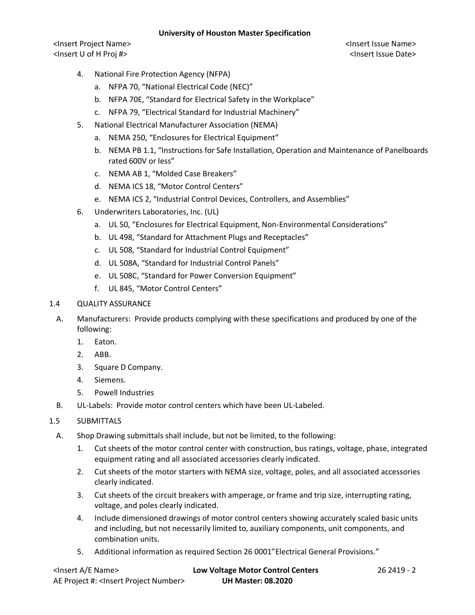<Insert Project Name> <Insert Issue Name> <Insert U of H Proj #> <Insert Issue Date>

- 4. National Fire Protection Agency (NFPA)
	- a. NFPA 70, "National Electrical Code (NEC)"
	- b. NFPA 70E, "Standard for Electrical Safety in the Workplace"
	- c. NFPA 79, "Electrical Standard for Industrial Machinery"
- 5. National Electrical Manufacturer Association (NEMA)
	- a. NEMA 250, "Enclosures for Electrical Equipment"
	- b. NEMA PB 1.1, "Instructions for Safe Installation, Operation and Maintenance of Panelboards rated 600V or less"
	- c. NEMA AB 1, "Molded Case Breakers"
	- d. NEMA ICS 18, "Motor Control Centers"
	- e. NEMA ICS 2, "Industrial Control Devices, Controllers, and Assemblies"
- 6. Underwriters Laboratories, Inc. (UL)
	- a. UL 50, "Enclosures for Electrical Equipment, Non-Environmental Considerations"
	- b. UL 498, "Standard for Attachment Plugs and Receptacles"
	- c. UL 508, "Standard for Industrial Control Equipment"
	- d. UL 508A, "Standard for Industrial Control Panels"
	- e. UL 508C, "Standard for Power Conversion Equipment"
	- f. UL 845, "Motor Control Centers"

## 1.4 QUALITY ASSURANCE

- A. Manufacturers: Provide products complying with these specifications and produced by one of the following:
	- 1. Eaton.
	- 2. ABB.
	- 3. Square D Company.
	- 4. Siemens.
	- 5. Powell Industries
- B. UL-Labels: Provide motor control centers which have been UL-Labeled.
- 1.5 SUBMITTALS
- A. Shop Drawing submittals shall include, but not be limited, to the following:
	- 1. Cut sheets of the motor control center with construction, bus ratings, voltage, phase, integrated equipment rating and all associated accessories clearly indicated.
	- 2. Cut sheets of the motor starters with NEMA size, voltage, poles, and all associated accessories clearly indicated.
	- 3. Cut sheets of the circuit breakers with amperage, or frame and trip size, interrupting rating, voltage, and poles clearly indicated.
	- 4. Include dimensioned drawings of motor control centers showing accurately scaled basic units and including, but not necessarily limited to, auxiliary components, unit components, and combination units.
	- 5. Additional information as required Section 26 0001"Electrical General Provisions."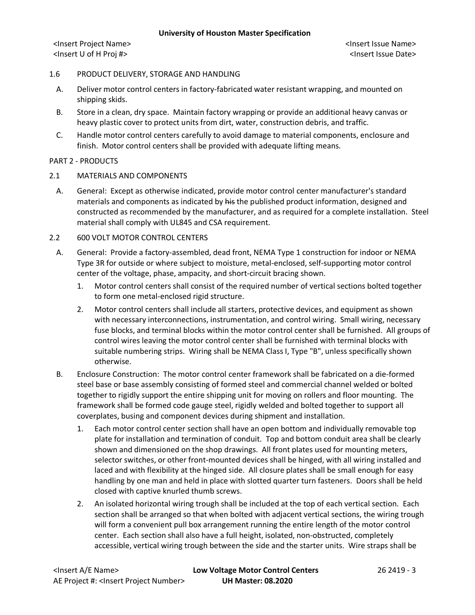<Insert Project Name> <Insert Issue Name> <Insert U of H Proj #> <Insert Issue Date>

#### 1.6 PRODUCT DELIVERY, STORAGE AND HANDLING

- A. Deliver motor control centers in factory-fabricated water resistant wrapping, and mounted on shipping skids.
- B. Store in a clean, dry space. Maintain factory wrapping or provide an additional heavy canvas or heavy plastic cover to protect units from dirt, water, construction debris, and traffic.
- C. Handle motor control centers carefully to avoid damage to material components, enclosure and finish. Motor control centers shall be provided with adequate lifting means.

#### PART 2 - PRODUCTS

- 2.1 MATERIALS AND COMPONENTS
- A. General: Except as otherwise indicated, provide motor control center manufacturer's standard materials and components as indicated by his the published product information, designed and constructed as recommended by the manufacturer, and as required for a complete installation. Steel material shall comply with UL845 and CSA requirement.
- 2.2 600 VOLT MOTOR CONTROL CENTERS
- A. General: Provide a factory-assembled, dead front, NEMA Type 1 construction for indoor or NEMA Type 3R for outside or where subject to moisture, metal-enclosed, self-supporting motor control center of the voltage, phase, ampacity, and short-circuit bracing shown.
	- 1. Motor control centers shall consist of the required number of vertical sections bolted together to form one metal-enclosed rigid structure.
	- 2. Motor control centers shall include all starters, protective devices, and equipment as shown with necessary interconnections, instrumentation, and control wiring. Small wiring, necessary fuse blocks, and terminal blocks within the motor control center shall be furnished. All groups of control wires leaving the motor control center shall be furnished with terminal blocks with suitable numbering strips. Wiring shall be NEMA Class I, Type "B", unless specifically shown otherwise.
- B. Enclosure Construction: The motor control center framework shall be fabricated on a die-formed steel base or base assembly consisting of formed steel and commercial channel welded or bolted together to rigidly support the entire shipping unit for moving on rollers and floor mounting. The framework shall be formed code gauge steel, rigidly welded and bolted together to support all coverplates, busing and component devices during shipment and installation.
	- 1. Each motor control center section shall have an open bottom and individually removable top plate for installation and termination of conduit. Top and bottom conduit area shall be clearly shown and dimensioned on the shop drawings. All front plates used for mounting meters, selector switches, or other front-mounted devices shall be hinged, with all wiring installed and laced and with flexibility at the hinged side. All closure plates shall be small enough for easy handling by one man and held in place with slotted quarter turn fasteners. Doors shall be held closed with captive knurled thumb screws.
	- 2. An isolated horizontal wiring trough shall be included at the top of each vertical section. Each section shall be arranged so that when bolted with adjacent vertical sections, the wiring trough will form a convenient pull box arrangement running the entire length of the motor control center. Each section shall also have a full height, isolated, non-obstructed, completely accessible, vertical wiring trough between the side and the starter units. Wire straps shall be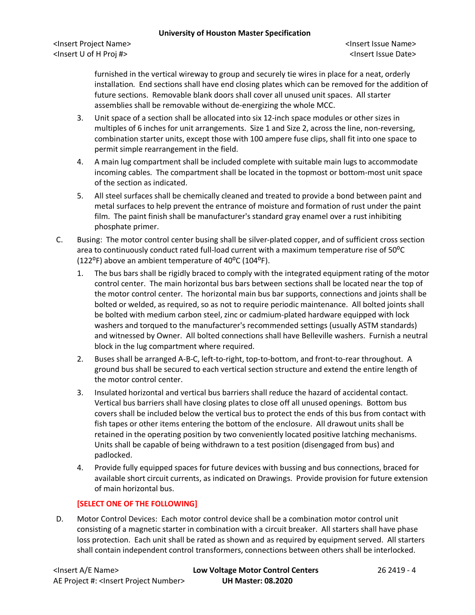<Insert Project Name> <Insert Issue Name> <Insert U of H Proj #> <Insert Issue Date>

furnished in the vertical wireway to group and securely tie wires in place for a neat, orderly installation. End sections shall have end closing plates which can be removed for the addition of future sections. Removable blank doors shall cover all unused unit spaces. All starter assemblies shall be removable without de-energizing the whole MCC.

- 3. Unit space of a section shall be allocated into six 12-inch space modules or other sizes in multiples of 6 inches for unit arrangements. Size 1 and Size 2, across the line, non-reversing, combination starter units, except those with 100 ampere fuse clips, shall fit into one space to permit simple rearrangement in the field.
- 4. A main lug compartment shall be included complete with suitable main lugs to accommodate incoming cables. The compartment shall be located in the topmost or bottom-most unit space of the section as indicated.
- 5. All steel surfaces shall be chemically cleaned and treated to provide a bond between paint and metal surfaces to help prevent the entrance of moisture and formation of rust under the paint film. The paint finish shall be manufacturer's standard gray enamel over a rust inhibiting phosphate primer.
- C. Busing: The motor control center busing shall be silver-plated copper, and of sufficient cross section area to continuously conduct rated full-load current with a maximum temperature rise of  $50^{\circ}$ C (122 $^{\circ}$ F) above an ambient temperature of 40 $^{\circ}$ C (104 $^{\circ}$ F).
	- 1. The bus bars shall be rigidly braced to comply with the integrated equipment rating of the motor control center. The main horizontal bus bars between sections shall be located near the top of the motor control center. The horizontal main bus bar supports, connections and joints shall be bolted or welded, as required, so as not to require periodic maintenance. All bolted joints shall be bolted with medium carbon steel, zinc or cadmium-plated hardware equipped with lock washers and torqued to the manufacturer's recommended settings (usually ASTM standards) and witnessed by Owner. All bolted connections shall have Belleville washers. Furnish a neutral block in the lug compartment where required.
	- 2. Buses shall be arranged A-B-C, left-to-right, top-to-bottom, and front-to-rear throughout. A ground bus shall be secured to each vertical section structure and extend the entire length of the motor control center.
	- 3. Insulated horizontal and vertical bus barriers shall reduce the hazard of accidental contact. Vertical bus barriers shall have closing plates to close off all unused openings. Bottom bus covers shall be included below the vertical bus to protect the ends of this bus from contact with fish tapes or other items entering the bottom of the enclosure. All drawout units shall be retained in the operating position by two conveniently located positive latching mechanisms. Units shall be capable of being withdrawn to a test position (disengaged from bus) and padlocked.
	- 4. Provide fully equipped spaces for future devices with bussing and bus connections, braced for available short circuit currents, as indicated on Drawings. Provide provision for future extension of main horizontal bus.

# **[SELECT ONE OF THE FOLLOWING]**

D. Motor Control Devices: Each motor control device shall be a combination motor control unit consisting of a magnetic starter in combination with a circuit breaker. All starters shall have phase loss protection. Each unit shall be rated as shown and as required by equipment served. All starters shall contain independent control transformers, connections between others shall be interlocked.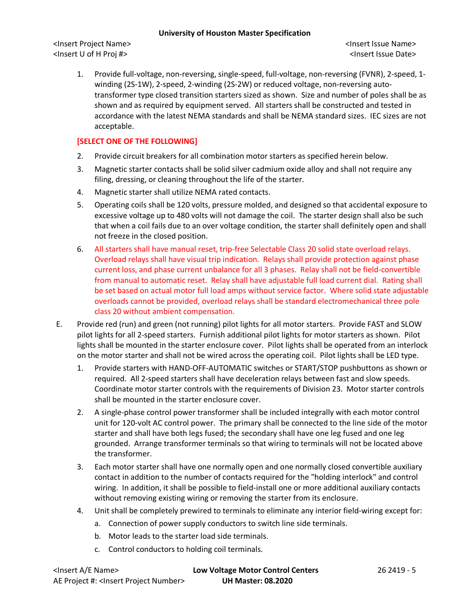<Insert Project Name> <Insert Issue Name> <Insert U of H Proj #> <Insert Issue Date>

1. Provide full-voltage, non-reversing, single-speed, full-voltage, non-reversing (FVNR), 2-speed, 1 winding (2S-1W), 2-speed, 2-winding (2S-2W) or reduced voltage, non-reversing autotransformer type closed transition starters sized as shown. Size and number of poles shall be as shown and as required by equipment served. All starters shall be constructed and tested in accordance with the latest NEMA standards and shall be NEMA standard sizes. IEC sizes are not acceptable.

## **[SELECT ONE OF THE FOLLOWING]**

- 2. Provide circuit breakers for all combination motor starters as specified herein below.
- 3. Magnetic starter contacts shall be solid silver cadmium oxide alloy and shall not require any filing, dressing, or cleaning throughout the life of the starter.
- 4. Magnetic starter shall utilize NEMA rated contacts.
- 5. Operating coils shall be 120 volts, pressure molded, and designed so that accidental exposure to excessive voltage up to 480 volts will not damage the coil. The starter design shall also be such that when a coil fails due to an over voltage condition, the starter shall definitely open and shall not freeze in the closed position.
- 6. All starters shall have manual reset, trip-free Selectable Class 20 solid state overload relays. Overload relays shall have visual trip indication. Relays shall provide protection against phase current loss, and phase current unbalance for all 3 phases. Relay shall not be field-convertible from manual to automatic reset. Relay shall have adjustable full load current dial. Rating shall be set based on actual motor full load amps without service factor. Where solid state adjustable overloads cannot be provided, overload relays shall be standard electromechanical three pole class 20 without ambient compensation.
- E. Provide red (run) and green (not running) pilot lights for all motor starters. Provide FAST and SLOW pilot lights for all 2-speed starters. Furnish additional pilot lights for motor starters as shown. Pilot lights shall be mounted in the starter enclosure cover. Pilot lights shall be operated from an interlock on the motor starter and shall not be wired across the operating coil. Pilot lights shall be LED type.
	- 1. Provide starters with HAND-OFF-AUTOMATIC switches or START/STOP pushbuttons as shown or required. All 2-speed starters shall have deceleration relays between fast and slow speeds. Coordinate motor starter controls with the requirements of Division 23. Motor starter controls shall be mounted in the starter enclosure cover.
	- 2. A single-phase control power transformer shall be included integrally with each motor control unit for 120-volt AC control power. The primary shall be connected to the line side of the motor starter and shall have both legs fused; the secondary shall have one leg fused and one leg grounded. Arrange transformer terminals so that wiring to terminals will not be located above the transformer.
	- 3. Each motor starter shall have one normally open and one normally closed convertible auxiliary contact in addition to the number of contacts required for the "holding interlock" and control wiring. In addition, it shall be possible to field-install one or more additional auxiliary contacts without removing existing wiring or removing the starter from its enclosure.
	- 4. Unit shall be completely prewired to terminals to eliminate any interior field-wiring except for:
		- a. Connection of power supply conductors to switch line side terminals.
		- b. Motor leads to the starter load side terminals.
		- c. Control conductors to holding coil terminals.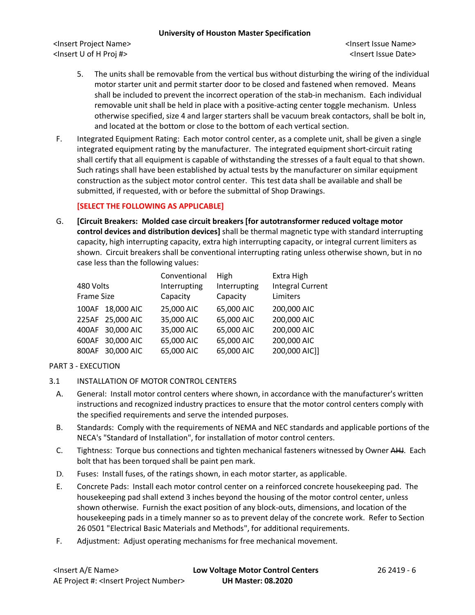<Insert Project Name> <Insert Issue Name> <Insert U of H Proj #> <Insert Issue Date>

- 5. The units shall be removable from the vertical bus without disturbing the wiring of the individual motor starter unit and permit starter door to be closed and fastened when removed. Means shall be included to prevent the incorrect operation of the stab-in mechanism. Each individual removable unit shall be held in place with a positive-acting center toggle mechanism. Unless otherwise specified, size 4 and larger starters shall be vacuum break contactors, shall be bolt in, and located at the bottom or close to the bottom of each vertical section.
- F. Integrated Equipment Rating: Each motor control center, as a complete unit, shall be given a single integrated equipment rating by the manufacturer. The integrated equipment short-circuit rating shall certify that all equipment is capable of withstanding the stresses of a fault equal to that shown. Such ratings shall have been established by actual tests by the manufacturer on similar equipment construction as the subject motor control center. This test data shall be available and shall be submitted, if requested, with or before the submittal of Shop Drawings.

## **[SELECT THE FOLLOWING AS APPLICABLE]**

G. **[Circuit Breakers: Molded case circuit breakers [for autotransformer reduced voltage motor control devices and distribution devices]** shall be thermal magnetic type with standard interrupting capacity, high interrupting capacity, extra high interrupting capacity, or integral current limiters as shown. Circuit breakers shall be conventional interrupting rating unless otherwise shown, but in no case less than the following values:

| Conventional                                                                                                                       | High         | Extra High              |
|------------------------------------------------------------------------------------------------------------------------------------|--------------|-------------------------|
| Interrupting                                                                                                                       | Interrupting | <b>Integral Current</b> |
| Capacity                                                                                                                           | Capacity     | Limiters                |
| 25,000 AIC                                                                                                                         | 65,000 AIC   | 200,000 AIC             |
| 35,000 AIC                                                                                                                         | 65,000 AIC   | 200,000 AIC             |
| 35,000 AIC                                                                                                                         | 65,000 AIC   | 200,000 AIC             |
| 65,000 AIC                                                                                                                         | 65,000 AIC   | 200,000 AIC             |
| 65,000 AIC                                                                                                                         | 65,000 AIC   | 200,000 AIC]]           |
| 480 Volts<br><b>Frame Size</b><br>100AF 18,000 AIC<br>225AF 25,000 AIC<br>400AF 30,000 AIC<br>600AF 30,000 AIC<br>800AF 30,000 AIC |              |                         |

# PART 3 - EXECUTION

- 3.1 INSTALLATION OF MOTOR CONTROL CENTERS
	- A. General: Install motor control centers where shown, in accordance with the manufacturer's written instructions and recognized industry practices to ensure that the motor control centers comply with the specified requirements and serve the intended purposes.
	- B. Standards: Comply with the requirements of NEMA and NEC standards and applicable portions of the NECA's "Standard of Installation", for installation of motor control centers.
	- C. Tightness: Torque bus connections and tighten mechanical fasteners witnessed by Owner AHJ. Each bolt that has been torqued shall be paint pen mark.
	- D. Fuses: Install fuses, of the ratings shown, in each motor starter, as applicable.
	- E. Concrete Pads: Install each motor control center on a reinforced concrete housekeeping pad. The housekeeping pad shall extend 3 inches beyond the housing of the motor control center, unless shown otherwise. Furnish the exact position of any block-outs, dimensions, and location of the housekeeping pads in a timely manner so as to prevent delay of the concrete work. Refer to Section 26 0501 "Electrical Basic Materials and Methods", for additional requirements.
	- F. Adjustment: Adjust operating mechanisms for free mechanical movement.